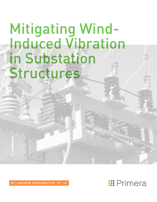# Mitigating Wind-Induced Vibration in Substation Structures

BY: ANDREW HERRNREITER, PE, SE

## **::: Primera**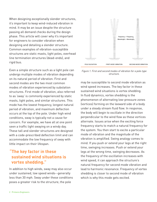When designing exceptionally slender structures, it's important to keep wind-induced vibration in mind. It may be an issue despite the structure passing all demand checks during the design phase. This article will cover why it's important for engineers to consider vibration when designing and detailing a slender structure. Common examples of vibration-susceptible structures are static masts, light poles, overhead line termination structures (dead-ends), and rigid bus.

Even a simple structure such as a light pole can undergo multiple modes of vibration depending on its natural period of vibration. First and second modes are the two most common modes of vibration experienced by substation structures. First mode of vibration, also referred to as 'sway' is commonly experienced by static masts, light poles, and similar structures. This mode has the lowest frequency, longest natural period of vibration, and maximum deflection occurs at the top of the pole. Under high wind conditions, sway is typically not a cause for concern. For example, we have all at one point seen a traffic light swaying on a windy day. These tall and slender structures are designed with a code-prescribed deflection limit and can accommodate the low frequency of sway with little impact on their lifespan.

## **"The key factor in these sustained wind situations is vortex shedding."**

In addition to high winds, sway may also occur under sustained, low speed winds--generally less than 30 mph. Sway under these conditions poses a greater risk to the structure; the pole



*Figure 1. First and second modes of vibration for a pole-type structure.*

may be susceptible to second mode vibration as wind speed increases. The key factor in these sustained wind situations is vortex shedding. In fluid dynamics, vortex shedding is the phenomenon of alternating low-pressure zones (vortices) forming on the leeward side of a body under a steady stream fluid flow. In response, the body will begin to oscillate in the direction perpendicular to the wind flow as these vortices alternate. Issues arise when the exciting force frequency starts to match a natural frequency for the system. You then start to excite a particular mode of vibration and the magnitude of the vibration is amplified. Swing analogy comes to mind. If you push or extend your legs at the right time, swinging increases. Push or extend your legs at the wrong time, swinging decreases. As the frequency of the oscillation increases with wind speed, it can approach the structure's natural frequency for second mode vibration and lead to harmonic resonance. Frequency of vortex shedding is closer to second mode of vibration which is why this mode gets excited.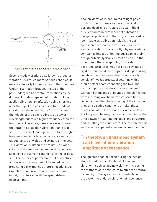

*Figure 2. Pole vibration induced by vortex shedding.*

Second mode vibration, also known as 'aeolian vibration,' is a much more serious condition. It may lead to early fatigue failure of the structure. Under first mode vibration, the top of the pole undergoes horizontal translations as the dominant mode shape of deformation. Under aeolian vibration, an inflection point is formed near the top of the pole, leading to a mode of vibration as shown on Figure 1. This causes the middle of the pole to vibrate at a lower wavelength but much higher frequency than the first mode. Therefore, it may be easier to hear the fluttering of aeolian vibration than it is to see it. The cyclical loading induced by the higher frequency aeolian vibration can cause early fatigue failure of welds and corners of the pole. This vibration is difficult to predict. The wind criteria that cause second mode vibration are specific to the terrain conditions for the project site. The historical performance of a structure at previous locations cannot be relied on for predicting performance at future locations. As expected, aeolian vibration is more common in flat, rural terrain with few ground-level obstructions.

Aeolian vibration is not limited to light poles or static masts. It may also occur in rigid bus and dead-end structures as well. Rigid bus is a common component of substation design projects, and of the two, is more readily identifiable as a vibration risk. As the bus span increases, so does its susceptibility to aeolian vibration. This is partly why many utility companies impose a limiting bus span in their design criteria, typically 15 feet or less. On the other hand, the susceptibility to vibration of dead-end structures may not be as obvious as rigid bus but could pose a greater danger during construction. Dead-end structures typically consist of two tapered steel columns with a tubular steel beam connecting the two. The beam supports insulators that are designed to withstand thousands of pounds of tension forces from incoming overhead transmission lines. Depending on the phase spacing of the incoming lines and existing conditions on-site, these beams can often have spans in excess of 30 feet. For long span beams, it's crucial to minimize the time between installing the dead-end structure and installing the conductors. The reason for this will become apparent after we discuss damping.

### **"In theory, an undamped system can have infinite vibration amplitude at resonance. "**

Though steps can be taken during the design stage to reduce the likelihood of aeolian vibration--such as adding weight or increasing the stiffness of the structure to alter the natural frequency of the system--the possibility for the system to undergo vibration at resonance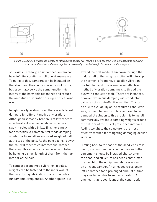

*Figure 3. Examples of vibration dampers, (a) weighted ball for first mode in poles, (b) chain with optional noise-reducing wrap for first and second mode in poles, (c) externally mounted weight for second mode in rigid bus.*

still exists. In theory, an undamped system can have infinite vibration amplitude at resonance. To mitigate this, dampers can be installed on the structure. They come in a variety of forms, but essentially serve the same function--to interrupt the harmonic resonance and reduce the amplitude of vibration during a critical wind event.

In light pole type structures, there are different dampers for different modes of vibration. Although first mode vibration is of low concern structurally, it may be beneficial to reduce sway in poles with a brittle finish or simply for aesthetics. A common first mode damping solution is to install an enclosed weighted ball at the top of the pole. As the pole begins to sway, the ball will move to counteract and dampen the sway. This effect can also be accomplished by hanging a short length of chain from the top interior of the pole.

To combat second mode vibration in poles, weights can be fastened to the inner wall of the pole during fabrication to alter the pole's fundamental frequencies. Another option is to

extend the first mode chain down through the middle half of the pole; its motion will interrupt the harmonic frequency of aeolian vibration. For tubular rigid bus, a simple yet effective method of vibration damping is to thread the bus with conductor cable. There are instances, however, when bus damping with conductor cable is not a cost-effective solution. This can be due to availability of the required conductor size, or the total length of bus required to be damped. A solution to this problem is to install commercially available damping weights around the exterior of the bus at prescribed intervals. Adding weight to the structure is the most effective method for mitigating damaging aeolian vibration.

Circling back to the case of the dead-end cross beam, it's now clear why conductors and other equipment should be installed shortly after the dead-end structure has been constructed; the weight of the equipment also serves as an efficient damper. An unloaded cross beam left undamped for a prolonged amount of time may risk failing due to aeolian vibration. An engineer that is cognizant of the construction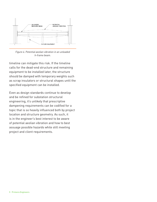

*Figure 4. Potential aeolian vibration in an unloaded h-frame beam.*

timeline can mitigate this risk. If the timeline calls for the dead-end structure and remaining equipment to be installed later, the structure should be damped with temporary weights such as scrap insulators or structural shapes until the specified equipment can be installed.

Even as design standards continue to develop and be refined for substation structural engineering, it's unlikely that prescriptive dampening requirements can be codified for a topic that is so heavily influenced both by project location and structure geometry. As such, it is in the engineer's best interest to be aware of potential aeolian vibration and how to best assuage possible hazards while still meeting project and client requirements.